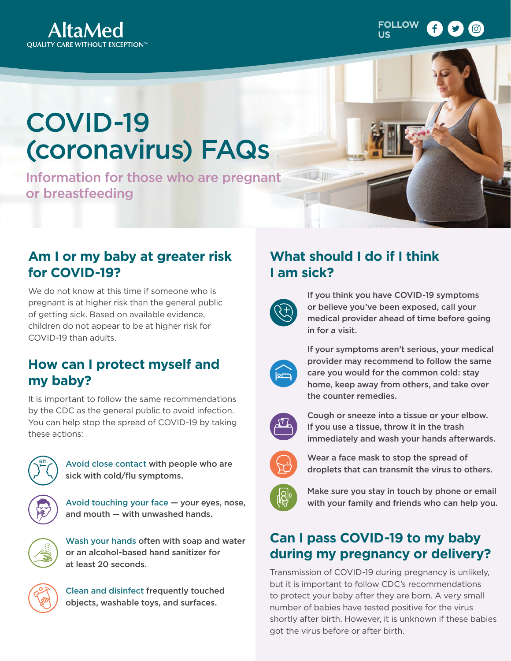



# COVID-19 (coronavirus) FAQs

Information for those who are pregnant or breastfeeding

#### **Am I or my baby at greater risk for COVID-19?**

We do not know at this time if someone who is pregnant is at higher risk than the general public of getting sick. Based on available evidence, children do not appear to be at higher risk for COVID-19 than adults.

#### **How can I protect myself and my baby?**

It is important to follow the same recommendations by the CDC as the general public to avoid infection. You can help stop the spread of COVID-19 by taking these actions:



Avoid close contact with people who are sick with cold/flu symptoms.



Avoid touching your face — your eyes, nose, and mouth — with unwashed hands.

Wash your hands often with soap and water or an alcohol-based hand sanitizer for at least 20 seconds.

Clean and disinfect frequently touched objects, washable toys, and surfaces.

## **What should I do if I think I am sick?**



If you think you have COVID-19 symptoms or believe you've been exposed, call your medical provider ahead of time before going in for a visit.



If your symptoms aren't serious, your medical provider may recommend to follow the same care you would for the common cold: stay home, keep away from others, and take over the counter remedies.



Cough or sneeze into a tissue or your elbow. If you use a tissue, throw it in the trash immediately and wash your hands afterwards.



Wear a face mask to stop the spread of droplets that can transmit the virus to others.



Make sure you stay in touch by phone or email with your family and friends who can help you.

## **Can I pass COVID-19 to my baby during my pregnancy or delivery?**

Transmission of COVID-19 during pregnancy is unlikely, but it is important to follow CDC's recommendations to protect your baby after they are born. A very small number of babies have tested positive for the virus shortly after birth. However, it is unknown if these babies got the virus before or after birth.